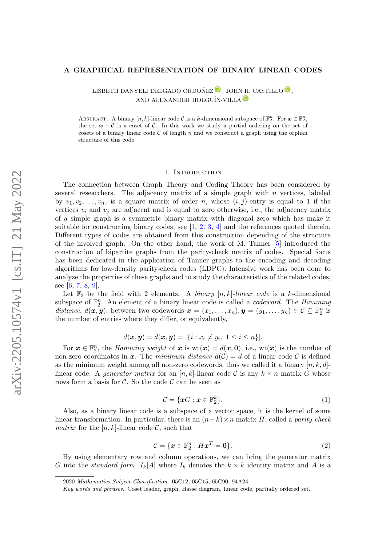## A GRAPHICAL REPRESENTATION OF BINARY LINEAR CODES

LISBETH DANYELI DELGADO ORDOÑEZ $\textcircled{\textsf{P}}$ , JOHN H. CASTILLO $\textcircled{\textsf{P}}$ , AND ALEXANDER HOLGUÍN-VILLA <sup>D</sup>

ABSTRACT. A binary  $[n, k]$ -linear code C is a k-dimensional subspace of  $\mathbb{F}_2^n$ . For  $\mathbf{x} \in \mathbb{F}_2^n$ , the set  $x + C$  is a coset of C. In this work we study a partial ordering on the set of cosets of a binary linear code  $\mathcal C$  of length n and we construct a graph using the orphan structure of this code.

#### 1. Introduction

The connection between Graph Theory and Coding Theory has been considered by several researchers. The adjacency matrix of a simple graph with  $n$  vertices, labeled by  $v_1, v_2, \ldots, v_n$ , is a square matrix of order n, whose  $(i, j)$ -entry is equal to 1 if the vertices  $v_i$  and  $v_j$  are adjacent and is equal to zero otherwise, i.e., the adjacency matrix of a simple graph is a symmetric binary matrix with diagonal zero which has make it suitable for constructing binary codes, see [\[1,](#page-7-0) [2,](#page-7-1) [3,](#page-7-2) [4\]](#page-7-3) and the references quoted therein. Different types of codes are obtained from this construction depending of the structure of the involved graph. On the other hand, the work of M. Tanner [\[5\]](#page-7-4) introduced the construction of bipartite graphs from the parity-check matrix of codes. Special focus has been dedicated in the application of Tanner graphs to the encoding and decoding algorithms for low-density parity-check codes (LDPC). Intensive work has been done to analyze the properties of these graphs and to study the characteristics of the related codes, see [\[6,](#page-7-5) [7,](#page-7-6) [8,](#page-7-7) [9\]](#page-7-8).

Let  $\mathbb{F}_2$  be the field with 2 elements. A *binary*  $[n, k]$ -linear code is a k-dimensional subspace of  $\mathbb{F}_2^n$ . An element of a binary linear code is called a *codeword*. The *Hamming* distance,  $d(\mathbf{x}, \mathbf{y})$ , between two codewords  $\mathbf{x} = (x_1, \dots, x_n), \mathbf{y} = (y_1, \dots, y_n) \in \mathcal{C} \subseteq \mathbb{F}_2^n$  is the number of entries where they differ, or equivalently,

$$
d(\bm{x}, \bm{y}) = d(\bm{x}, \bm{y}) = |\{i : x_i \neq y_i, 1 \leq i \leq n\}|.
$$

For  $\boldsymbol{x} \in \mathbb{F}_2^n$ , the *Hamming weight* of  $\boldsymbol{x}$  is  $wt(\boldsymbol{x}) = d(\boldsymbol{x}, \boldsymbol{0})$ , i.e.,  $wt(\boldsymbol{x})$  is the number of non-zero coordinates in x. The minimum distance  $d(C) = d$  of a linear code C is defined as the minimum weight among all non-zero codewords, thus we called it a binary  $[n, k, d]$ linear code. A *generator matrix* for an  $[n, k]$ -linear code C is any  $k \times n$  matrix G whose rows form a basis for C. So the code C can be seen as

<span id="page-0-0"></span>
$$
\mathcal{C} = \{ \mathbf{x} \mathbf{G} : \mathbf{x} \in \mathbb{F}_2^k \}. \tag{1}
$$

Also, as a binary linear code is a subspace of a vector space, it is the kernel of some linear transformation. In particular, there is an  $(n-k) \times n$  matrix H, called a parity-check *matrix* for the  $[n, k]$ -linear code C, such that

<span id="page-0-1"></span>
$$
\mathcal{C} = \{ \boldsymbol{x} \in \mathbb{F}_2^n : H\boldsymbol{x}^T = \mathbf{0} \}.
$$
 (2)

By using elementary row and column operations, we can bring the generator matrix G into the *standard form*  $[I_k]A]$  where  $I_k$  denotes the  $k \times k$  identity matrix and A is a

<sup>2020</sup> Mathematics Subject Classification. 05C12, 05C15, 05C90, 94A24.

Key words and phrases. Coset leader, graph, Hasse diagram, linear code, partially ordered set.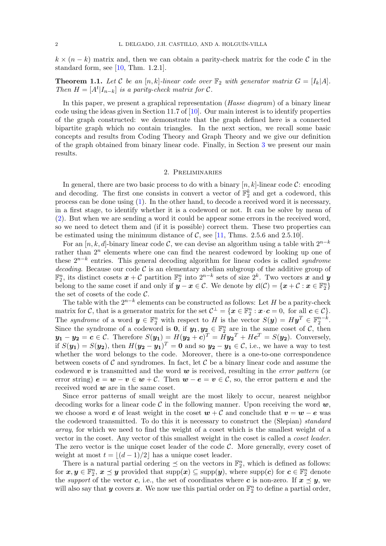$k \times (n-k)$  matrix and, then we can obtain a parity-check matrix for the code C in the standard form, see [\[10,](#page-7-9) Thm. 1.2.1].

**Theorem 1.1.** Let C be an  $[n, k]$ -linear code over  $\mathbb{F}_2$  with generator matrix  $G = [I_k | A]$ . Then  $H = [A^t | I_{n-k}]$  is a parity-check matrix for C.

In this paper, we present a graphical representation (*Hasse diagram*) of a binary linear code using the ideas given in Section 11.7 of [\[10\]](#page-7-9). Our main interest is to identify properties of the graph constructed: we demonstrate that the graph defined here is a connected bipartite graph which no contain triangles. In the next section, we recall some basic concepts and results from Coding Theory and Graph Theory and we give our definition of the graph obtained from binary linear code. Finally, in Section [3](#page-4-0) we present our main results.

### 2. Preliminaries

In general, there are two basic process to do with a binary  $[n, k]$ -linear code  $\mathcal{C}$ : encoding and decoding. The first one consists in convert a vector of  $\mathbb{F}_2^k$  and get a codeword, this process can be done using [\(1\)](#page-0-0). In the other hand, to decode a received word it is necessary, in a first stage, to identify whether it is a codeword or not. It can be solve by mean of [\(2\)](#page-0-1). But when we are sending a word it could be appear some errors in the received word, so we need to detect them and (if it is possible) correct them. These two properties can be estimated using the minimum distance of  $C$ , see [\[11,](#page-7-10) Thms. 2.5.6 and 2.5.10].

For an [n, k, d]-binary linear code C, we can devise an algorithm using a table with  $2^{n-k}$ rather than  $2^n$  elements where one can find the nearest codeword by looking up one of these  $2^{n-k}$  entries. This general decoding algorithm for linear codes is called *syndrome* decoding. Because our code  $\mathcal C$  is an elementary abelian subgroup of the additive group of  $\mathbb{F}_2^n$ , its distinct cosets  $\boldsymbol{x} + \mathcal{C}$  partition  $\mathbb{F}_2^n$  into  $2^{n-k}$  sets of size  $2^k$ . Two vectors  $\boldsymbol{x}$  and  $\boldsymbol{y}$ belong to the same coset if and only if  $y - x \in \mathcal{C}$ . We denote by  $\mathfrak{cl}(\mathcal{C}) = \{x + \mathcal{C} : x \in \mathbb{F}_2^n\}$ the set of cosets of the code  $C$ .

The table with the  $2^{n-k}$  elements can be constructed as follows: Let H be a parity-check matrix for C, that is a generator matrix for the set  $\mathcal{C}^{\perp} = \{ \boldsymbol{x} \in \mathbb{F}_2^n : \boldsymbol{x} \cdot \boldsymbol{c} = 0, \text{ for all } \boldsymbol{c} \in \mathcal{C} \}.$ The syndrome of a word  $y \in \mathbb{F}_2^n$  with respect to H is the vector  $S(y) = Hy^T \in \mathbb{F}_2^{n-k}$ . Since the syndrome of a codeword is **0**, if  $y_1, y_2 \in \mathbb{F}_2^n$  are in the same coset of  $\mathcal{C}$ , then  $y_1 - y_2 = c \in \mathcal{C}$ . Therefore  $S(y_1) = H(y_2 + c)^T = Hy_2^T + Hc^T = S(y_2)$ . Conversely, if  $S(y_1) = S(y_2)$ , then  $H(y_2 - y_1)^T = 0$  and so  $y_2 - y_1 \in \mathcal{C}$ , i.e., we have a way to test whether the word belongs to the code. Moreover, there is a one-to-one correspondence between cosets of  $\mathcal C$  and syndromes. In fact, let  $\mathcal C$  be a binary linear code and assume the codeword v is transmitted and the word  $w$  is received, resulting in the *error pattern* (or error string)  $e = w - v \in w + C$ . Then  $w - e = v \in C$ , so, the error pattern e and the received word  $w$  are in the same coset.

Since error patterns of small weight are the most likely to occur, nearest neighbor decoding works for a linear code C in the following manner. Upon receiving the word  $w$ , we choose a word e of least weight in the coset  $w + C$  and conclude that  $v = w - e$  was the codeword transmitted. To do this it is necessary to construct the (Slepian) standard array, for which we need to find the weight of a coset which is the smallest weight of a vector in the coset. Any vector of this smallest weight in the coset is called a coset leader. The zero vector is the unique coset leader of the code  $C$ . More generally, every coset of weight at most  $t = |(d - 1)/2|$  has a unique coset leader.

There is a natural partial ordering  $\leq$  on the vectors in  $\mathbb{F}_2^n$ , which is defined as follows: for  $x, y \in \mathbb{F}_2^n$ ,  $x \preceq y$  provided that  $\text{supp}(x) \subseteq \text{supp}(y)$ , where  $\text{supp}(c)$  for  $c \in \mathbb{F}_2^n$  denote the *support* of the vector c, i.e., the set of coordinates where c is non-zero. If  $x \preceq y$ , we will also say that **y** covers **x**. We now use this partial order on  $\mathbb{F}_2^n$  to define a partial order,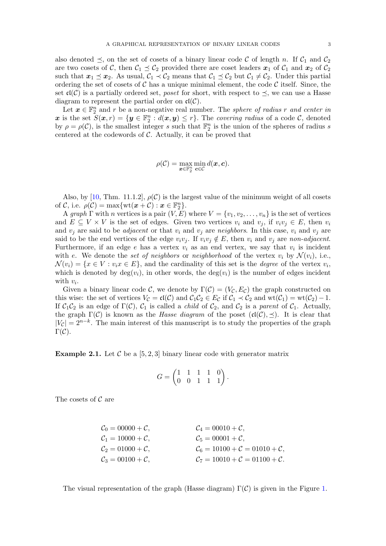also denoted  $\preceq$ , on the set of cosets of a binary linear code C of length n. If  $\mathcal{C}_1$  and  $\mathcal{C}_2$ are two cosets of C, then  $C_1 \preceq C_2$  provided there are coset leaders  $x_1$  of  $C_1$  and  $x_2$  of  $C_2$ such that  $x_1 \preceq x_2$ . As usual,  $C_1 \prec C_2$  means that  $C_1 \preceq C_2$  but  $C_1 \neq C_2$ . Under this partial ordering the set of cosets of C has a unique minimal element, the code C itself. Since, the set  $\mathfrak{cl}(\mathcal{C})$  is a partially ordered set, *poset* for short, with respect to  $\preceq$ , we can use a Hasse diagram to represent the partial order on  $\mathfrak{cl}(\mathcal{C})$ .

Let  $x \in \mathbb{F}_2^n$  and r be a non-negative real number. The sphere of radius r and center in x is the set  $S(x,r) = \{y \in \mathbb{F}_2^n : d(x,y) \leq r\}$ . The *covering radius* of a code C, denoted by  $\rho = \rho(\mathcal{C})$ , is the smallest integer s such that  $\mathbb{F}_2^n$  is the union of the spheres of radius s centered at the codewords of  $C$ . Actually, it can be proved that

$$
\rho(\mathcal{C}) = \max_{\boldsymbol{x} \in \mathbb{F}_2^n} \min_{\boldsymbol{c} \in \mathcal{C}} d(\boldsymbol{x}, \boldsymbol{c}).
$$

Also, by [\[10,](#page-7-9) Thm. 11.1.2],  $\rho(C)$  is the largest value of the minimum weight of all cosets of C, i.e.  $\rho(\mathcal{C}) = \max \{ \mathrm{wt}(\boldsymbol{x} + \mathcal{C}) : \boldsymbol{x} \in \mathbb{F}_2^n \}.$ 

A graph  $\Gamma$  with n vertices is a pair  $(V, E)$  where  $V = \{v_1, v_2, \ldots, v_n\}$  is the set of vertices and  $E \subseteq V \times V$  is the set of edges. Given two vertices  $v_i$  and  $v_j$ , if  $v_i v_j \in E$ , then  $v_i$ and  $v_i$  are said to be *adjacent* or that  $v_i$  and  $v_j$  are *neighbors*. In this case,  $v_i$  and  $v_j$  are said to be the end vertices of the edge  $v_i v_j$ . If  $v_i v_j \notin E$ , then  $v_i$  and  $v_j$  are non-adjacent. Furthermore, if an edge  $e$  has a vertex  $v_i$  as an end vertex, we say that  $v_i$  is incident with e. We denote the set of neighbors or neighborhood of the vertex  $v_i$  by  $\mathcal{N}(v_i)$ , i.e.,  $\mathcal{N}(v_i) = \{x \in V : v_i x \in E\}$ , and the cardinality of this set is the *degree* of the vertex  $v_i$ , which is denoted by  $deg(v_i)$ , in other words, the  $deg(v_i)$  is the number of edges incident with  $v_i$ .

Given a binary linear code C, we denote by  $\Gamma(\mathcal{C}) = (V_{\mathcal{C}}, E_{\mathcal{C}})$  the graph constructed on this wise: the set of vertices  $V_{\mathcal{C}} = \mathfrak{cl}(\mathcal{C})$  and  $\mathcal{C}_1\mathcal{C}_2 \in E_{\mathcal{C}}$  if  $\mathcal{C}_1 \prec \mathcal{C}_2$  and  $\text{wt}(\mathcal{C}_1) = \text{wt}(\mathcal{C}_2) - 1$ . If  $C_1C_2$  is an edge of  $\Gamma(\mathcal{C})$ ,  $C_1$  is called a *child* of  $C_2$ , and  $C_2$  is a *parent* of  $C_1$ . Actually, the graph  $\Gamma(\mathcal{C})$  is known as the *Hasse diagram* of the poset  $(\mathfrak{cl}(\mathcal{C}), \preceq)$ . It is clear that  $|V_C| = 2^{n-k}$ . The main interest of this manuscript is to study the properties of the graph  $\Gamma(\mathcal{C}).$ 

**Example 2.1.** Let C be a [5, 2, 3] binary linear code with generator matrix

$$
G = \begin{pmatrix} 1 & 1 & 1 & 1 & 0 \\ 0 & 0 & 1 & 1 & 1 \end{pmatrix}.
$$

The cosets of  $\mathcal C$  are

$$
C_0 = 00000 + C,
$$
  
\n
$$
C_1 = 10000 + C,
$$
  
\n
$$
C_2 = 01000 + C,
$$
  
\n
$$
C_3 = 00100 + C,
$$
  
\n
$$
C_4 = 00010 + C,
$$
  
\n
$$
C_5 = 00001 + C,
$$
  
\n
$$
C_6 = 10100 + C = 01010 + C,
$$
  
\n
$$
C_7 = 10010 + C = 01100 + C.
$$

The visual representation of the graph (Hasse diagram)  $\Gamma(\mathcal{C})$  is given in the Figure [1.](#page-3-0)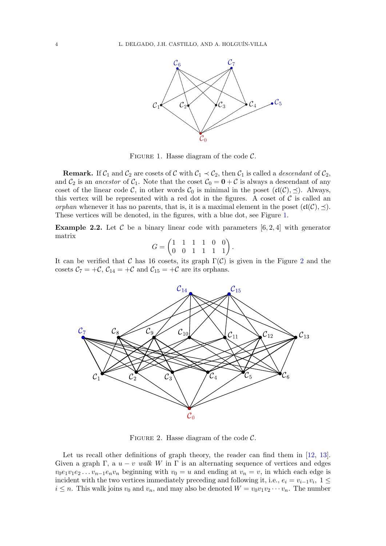

<span id="page-3-0"></span>FIGURE 1. Hasse diagram of the code  $\mathcal{C}$ .

**Remark.** If  $C_1$  and  $C_2$  are cosets of C with  $C_1 \prec C_2$ , then  $C_1$  is called a *descendant* of  $C_2$ , and  $C_2$  is an *ancestor* of  $C_1$ . Note that the coset  $C_0 = \mathbf{0} + C$  is always a descendant of any coset of the linear code C, in other words  $C_0$  is minimal in the poset  $({\frak c}(\mathcal{C}), \preceq)$ . Always, this vertex will be represented with a red dot in the figures. A coset of  $\mathcal C$  is called an orphan whenever it has no parents, that is, it is a maximal element in the poset  $({\frak c}(\mathcal{C}), \preceq).$ These vertices will be denoted, in the figures, with a blue dot, see Figure [1.](#page-3-0)

**Example 2.2.** Let  $\mathcal{C}$  be a binary linear code with parameters [6, 2, 4] with generator matrix

$$
G = \begin{pmatrix} 1 & 1 & 1 & 1 & 0 & 0 \\ 0 & 0 & 1 & 1 & 1 & 1 \end{pmatrix}.
$$

It can be verified that C has 16 cosets, its graph  $\Gamma(\mathcal{C})$  is given in the Figure [2](#page-3-1) and the cosets  $C_7 = +C$ ,  $C_{14} = +C$  and  $C_{15} = +C$  are its orphans.



<span id="page-3-1"></span>FIGURE 2. Hasse diagram of the code  $\mathcal{C}$ .

Let us recall other definitions of graph theory, the reader can find them in [\[12,](#page-7-11) [13\]](#page-7-12). Given a graph Γ, a  $u - v$  walk W in Γ is an alternating sequence of vertices and edges  $v_0e_1v_1e_2...v_{n-1}e_nv_n$  beginning with  $v_0 = u$  and ending at  $v_n = v$ , in which each edge is incident with the two vertices immediately preceding and following it, i.e.,  $e_i = v_{i-1}v_i$ ,  $1 \leq$  $i \leq n$ . This walk joins  $v_0$  and  $v_n$ , and may also be denoted  $W = v_0v_1v_2\cdots v_n$ . The number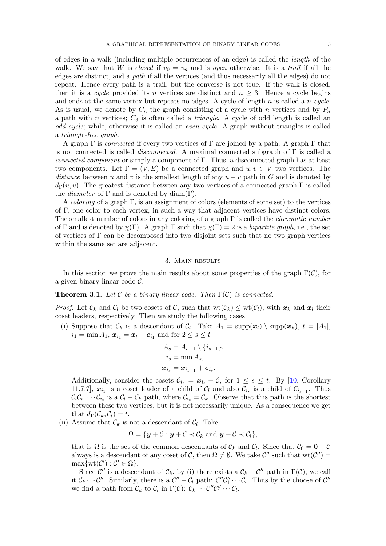of edges in a walk (including multiple occurrences of an edge) is called the length of the walk. We say that W is closed if  $v_0 = v_n$  and is open otherwise. It is a trail if all the edges are distinct, and a path if all the vertices (and thus necessarily all the edges) do not repeat. Hence every path is a trail, but the converse is not true. If the walk is closed, then it is a cycle provided its n vertices are distinct and  $n \geq 3$ . Hence a cycle begins and ends at the same vertex but repeats no edges. A cycle of length n is called a  $n$ -cycle. As is usual, we denote by  $C_n$  the graph consisting of a cycle with n vertices and by  $P_n$ a path with n vertices;  $C_3$  is often called a *triangle*. A cycle of odd length is called an odd cycle; while, otherwise it is called an even cycle. A graph without triangles is called a triangle-free graph.

A graph  $\Gamma$  is connected if every two vertices of  $\Gamma$  are joined by a path. A graph  $\Gamma$  that is not connected is called *disconnected*. A maximal connected subgraph of  $\Gamma$  is called a connected component or simply a component of Γ. Thus, a disconnected graph has at least two components. Let  $\Gamma = (V, E)$  be a connected graph and  $u, v \in V$  two vertices. The distance between u and v is the smallest length of any  $u - v$  path in G and is denoted by  $d_{\Gamma}(u, v)$ . The greatest distance between any two vertices of a connected graph  $\Gamma$  is called the *diameter* of  $\Gamma$  and is denoted by diam( $\Gamma$ ).

A coloring of a graph Γ, is an assignment of colors (elements of some set) to the vertices of Γ, one color to each vertex, in such a way that adjacent vertices have distinct colors. The smallest number of colors in any coloring of a graph  $\Gamma$  is called the *chromatic number* of Γ and is denoted by  $\chi(\Gamma)$ . A graph Γ such that  $\chi(\Gamma) = 2$  is a bipartite graph, i.e., the set of vertices of  $\Gamma$  can be decomposed into two disjoint sets such that no two graph vertices within the same set are adjacent.

# 3. Main results

<span id="page-4-0"></span>In this section we prove the main results about some properties of the graph  $\Gamma(\mathcal{C})$ , for a given binary linear code C.

## **Theorem 3.1.** Let C be a binary linear code. Then  $\Gamma(\mathcal{C})$  is connected.

*Proof.* Let  $\mathcal{C}_k$  and  $\mathcal{C}_l$  be two cosets of  $\mathcal{C}$ , such that  $\operatorname{wt}(\mathcal{C}_k) \leq \operatorname{wt}(\mathcal{C}_l)$ , with  $\boldsymbol{x}_k$  and  $\boldsymbol{x}_l$  their coset leaders, respectively. Then we study the following cases.

(i) Suppose that  $\mathcal{C}_k$  is a descendant of  $\mathcal{C}_l$ . Take  $A_1 = \text{supp}(\boldsymbol{x}_l) \setminus \text{supp}(\boldsymbol{x}_k)$ ,  $t = |A_1|$ ,  $i_1 = \min A_1, x_{i_1} = x_l + e_{i_1}$  and for  $2 \le s \le t$ 

$$
A_s = A_{s-1} \setminus \{i_{s-1}\},
$$
  
\n
$$
i_s = \min A_s,
$$
  
\n
$$
x_{i_s} = x_{i_{s-1}} + e_{i_s}.
$$

Additionally, consider the cosets  $\mathcal{C}_{i_{s}} = \mathbf{x}_{i_{s}} + \mathcal{C}$ , for  $1 \leq s \leq t$ . By [\[10,](#page-7-9) Corollary 11.7.7,  $x_{i_1}$  is a coset leader of a child of  $\mathcal{C}_l$  and also  $\mathcal{C}_{i_s}$  is a child of  $\mathcal{C}_{i_{s-1}}$ . Thus  $\mathcal{C}_l \mathcal{C}_{i_1} \cdots \mathcal{C}_{i_t}$  is a  $\mathcal{C}_l - \mathcal{C}_k$  path, where  $\mathcal{C}_{i_t} = \mathcal{C}_k$ . Observe that this path is the shortest between these two vertices, but it is not necessarily unique. As a consequence we get that  $d_{\Gamma}(\mathcal{C}_k, \mathcal{C}_l) = t$ .

(ii) Assume that  $\mathcal{C}_k$  is not a descendant of  $\mathcal{C}_l$ . Take

$$
\Omega = \{ \boldsymbol{y} + \mathcal{C} : \boldsymbol{y} + \mathcal{C} \prec \mathcal{C}_k \text{ and } \boldsymbol{y} + \mathcal{C} \prec \mathcal{C}_l \},
$$

that is  $\Omega$  is the set of the common descendants of  $\mathcal{C}_k$  and  $\mathcal{C}_l$ . Since that  $\mathcal{C}_0 = \mathbf{0} + \mathcal{C}_l$ always is a descendant of any coset of C, then  $\Omega \neq \emptyset$ . We take C'' such that  $wt(C'')$  $\max \{ \operatorname{wt}(\mathcal{C}') : \mathcal{C}' \in \Omega \}.$ 

Since  $\mathcal{C}''$  is a descendant of  $\mathcal{C}_k$ , by (i) there exists a  $\mathcal{C}_k - \mathcal{C}''$  path in  $\Gamma(\mathcal{C})$ , we call it  $C_k \cdots C''$ . Similarly, there is a  $C'' - C_l$  path:  $C'' C''_1 \cdots C_l$ . Thus by the choose of  $C''$ we find a path from  $\mathcal{C}_k$  to  $\mathcal{C}_l$  in  $\Gamma(\mathcal{C})$ :  $\mathcal{C}_k \cdots \mathcal{C}'' \mathcal{C}_1'' \cdots \mathcal{C}_l$ .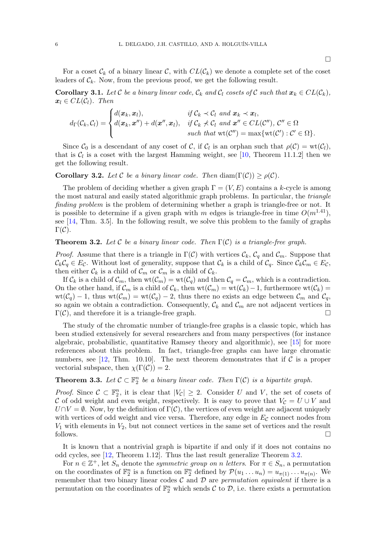For a coset  $\mathcal{C}_k$  of a binary linear  $\mathcal{C}$ , with  $CL(\mathcal{C}_k)$  we denote a complete set of the coset leaders of  $\mathcal{C}_k$ . Now, from the previous proof, we get the following result.

**Corollary 3.1.** Let C be a binary linear code,  $\mathcal{C}_k$  and  $\mathcal{C}_l$  cosets of C such that  $\mathbf{x}_k \in CL(\mathcal{C}_k)$ ,  $x_l \in CL(C_l)$ . Then

$$
d_{\Gamma}(\mathcal{C}_k, \mathcal{C}_l) = \begin{cases} d(\boldsymbol{x}_k, \boldsymbol{x}_l), & \text{if } \mathcal{C}_k \prec \mathcal{C}_l \text{ and } \boldsymbol{x}_k \prec \boldsymbol{x}_l, \\ d(\boldsymbol{x}_k, \boldsymbol{x}'') + d(\boldsymbol{x}'', \boldsymbol{x}_l), & \text{if } \mathcal{C}_k \not\prec \mathcal{C}_l \text{ and } \boldsymbol{x}'' \in CL(\mathcal{C}''), \mathcal{C}'' \in \Omega \\ & \text{such that } \text{wt}(\mathcal{C}'') = \max \{ \text{wt}(\mathcal{C}') : \mathcal{C}' \in \Omega \}. \end{cases}
$$

Since  $C_0$  is a descendant of any coset of C, if  $C_l$  is an orphan such that  $\rho(C) = \text{wt}(C_l)$ , that is  $C_l$  is a coset with the largest Hamming weight, see [\[10,](#page-7-9) Theorem 11.1.2] then we get the following result.

**Corollary 3.2.** Let C be a binary linear code. Then  $\text{diam}(\Gamma(\mathcal{C})) \geq \rho(\mathcal{C})$ .

The problem of deciding whether a given graph  $\Gamma = (V, E)$  contains a k-cycle is among the most natural and easily stated algorithmic graph problems. In particular, the triangle finding problem is the problem of determining whether a graph is triangle-free or not. It is possible to determine if a given graph with m edges is triangle-free in time  $O(m^{1.41})$ , see [\[14,](#page-8-0) Thm. 3.5]. In the following result, we solve this problem to the family of graphs  $\Gamma(\mathcal{C})$ .

## <span id="page-5-0"></span>**Theorem 3.2.** Let C be a binary linear code. Then  $\Gamma(\mathcal{C})$  is a triangle-free graph.

*Proof.* Assume that there is a triangle in  $\Gamma(\mathcal{C})$  with vertices  $\mathcal{C}_k$ ,  $\mathcal{C}_q$  and  $\mathcal{C}_m$ . Suppose that  $\mathcal{C}_k\mathcal{C}_q \in E_{\mathcal{C}}$ . Without lost of generality, suppose that  $\mathcal{C}_k$  is a child of  $\mathcal{C}_q$ . Since  $\mathcal{C}_k\mathcal{C}_m \in E_{\mathcal{C}}$ , then either  $\mathcal{C}_k$  is a child of  $\mathcal{C}_m$  or  $\mathcal{C}_m$  is a child of  $\mathcal{C}_k$ .

If  $\mathcal{C}_k$  is a child of  $\mathcal{C}_m$ , then  $wt(\mathcal{C}_m) = wt(\mathcal{C}_q)$  and then  $\mathcal{C}_q = \mathcal{C}_m$ , which is a contradiction. On the other hand, if  $\mathcal{C}_m$  is a child of  $\mathcal{C}_k$ , then  $wt(\mathcal{C}_m) = wt(\mathcal{C}_k) - 1$ , furthermore  $wt(\mathcal{C}_k) =$  $wt(\mathcal{C}_q) - 1$ , thus  $wt(\mathcal{C}_m) = wt(\mathcal{C}_q) - 2$ , thus there no exists an edge between  $\mathcal{C}_m$  and  $\mathcal{C}_q$ , so again we obtain a contradiction. Consequently,  $\mathcal{C}_k$  and  $\mathcal{C}_m$  are not adjacent vertices in  $\Gamma(\mathcal{C})$ , and therefore it is a triangle-free graph.

The study of the chromatic number of triangle-free graphs is a classic topic, which has been studied extensively for several researchers and from many perspectives (for instance algebraic, probabilistic, quantitative Ramsey theory and algorithmic), see [\[15\]](#page-8-1) for more references about this problem. In fact, triangle-free graphs can have large chromatic numbers, see [\[12,](#page-7-11) Thm. 10.10]. The next theorem demonstrates that if  $\mathcal C$  is a proper vectorial subspace, then  $\chi(\Gamma(\mathcal{C})) = 2$ .

# **Theorem 3.3.** Let  $C \subset \mathbb{F}_2^n$  be a binary linear code. Then  $\Gamma(C)$  is a bipartite graph.

*Proof.* Since  $C \subset \mathbb{F}_2^n$ , it is clear that  $|V_C| \geq 2$ . Consider U and V, the set of cosets of C of odd weight and even weight, respectively. It is easy to prove that  $V_c = U \cup V$  and  $U \cap V = \emptyset$ . Now, by the definition of  $\Gamma(\mathcal{C})$ , the vertices of even weight are adjacent uniquely with vertices of odd weight and vice versa. Therefore, any edge in  $E<sub>C</sub>$  connect nodes from  $V_1$  with elements in  $V_2$ , but not connect vertices in the same set of vertices and the result follows.

It is known that a nontrivial graph is bipartite if and only if it does not contains no odd cycles, see [\[12,](#page-7-11) Theorem 1.12]. Thus the last result generalize Theorem [3.2.](#page-5-0)

For  $n \in \mathbb{Z}^+$ , let  $S_n$  denote the *symmetric group on n letters*. For  $\pi \in S_n$ , a permutation on the coordinates of  $\mathbb{F}_2^n$  is a function on  $\mathbb{F}_2^n$  defined by  $\mathcal{P}(u_1 \dots u_n) = u_{\pi(1)} \dots u_{\pi(n)}$ . We remember that two binary linear codes  $\mathcal C$  and  $\mathcal D$  are permutation equivalent if there is a permutation on the coordinates of  $\mathbb{F}_2^n$  which sends  $\mathcal C$  to  $\mathcal D$ , i.e. there exists a permutation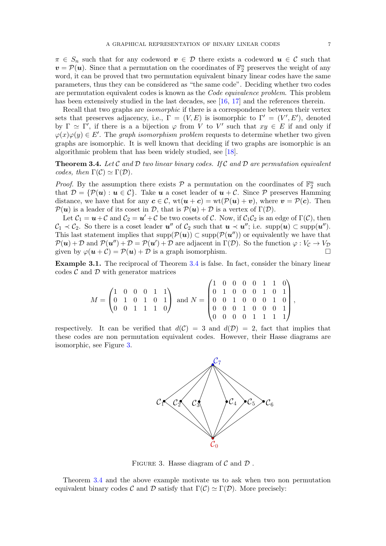<span id="page-6-1"></span>,

 $\pi \in S_n$  such that for any codeword  $v \in \mathcal{D}$  there exists a codeword  $u \in \mathcal{C}$  such that  $v = \mathcal{P}(u)$ . Since that a permutation on the coordinates of  $\mathbb{F}_2^n$  preserves the weight of any word, it can be proved that two permutation equivalent binary linear codes have the same parameters, thus they can be considered as "the same code". Deciding whether two codes are permutation equivalent codes is known as the Code equivalence problem. This problem has been extensively studied in the last decades, see [\[16,](#page-8-2) [17\]](#page-8-3) and the references therein.

Recall that two graphs are *isomorphic* if there is a correspondence between their vertex sets that preserves adjacency, i.e.,  $\Gamma = (V, E)$  is isomorphic to  $\Gamma' = (V', E')$ , denoted by  $\Gamma \simeq \Gamma'$ , if there is a a bijection  $\varphi$  from V to V' such that  $xy \in E$  if and only if  $\varphi(x)\varphi(y) \in E'.$  The graph isomorphism problem requests to determine whether two given graphs are isomorphic. It is well known that deciding if two graphs are isomorphic is an algorithmic problem that has been widely studied, see [\[18\]](#page-8-4).

<span id="page-6-0"></span>**Theorem 3.4.** Let  $\mathcal C$  and  $\mathcal D$  two linear binary codes. If  $\mathcal C$  and  $\mathcal D$  are permutation equivalent codes, then  $\Gamma(\mathcal{C}) \simeq \Gamma(\mathcal{D})$ .

*Proof.* By the assumption there exists  $P$  a permutation on the coordinates of  $\mathbb{F}_2^n$  such that  $\mathcal{D} = \{ \mathcal{P}(\mathbf{u}) : \mathbf{u} \in \mathcal{C} \}.$  Take **u** a coset leader of  $\mathbf{u} + \mathcal{C}.$  Since  $\mathcal{P}$  preserves Hamming distance, we have that for any  $c \in \mathcal{C}$ ,  $wt(u + c) = wt(\mathcal{P}(u) + v)$ , where  $v = \mathcal{P}(c)$ . Then  $\mathcal{P}(\boldsymbol{u})$  is a leader of its coset in  $\mathcal{D}$ , that is  $\mathcal{P}(\boldsymbol{u}) + \mathcal{D}$  is a vertex of  $\Gamma(\mathcal{D})$ .

Let  $C_1 = u + C$  and  $C_2 = u' + C$  be two cosets of C. Now, if  $C_1C_2$  is an edge of  $\Gamma(\mathcal{C})$ , then  $\mathcal{C}_1 \prec \mathcal{C}_2$ . So there is a coset leader  $u''$  of  $\mathcal{C}_2$  such that  $u \prec u''$ ; i.e.  $supp(u) \subset supp(u'')$ . This last statement implies that  $\text{supp}(\mathcal{P}(u)) \subset \text{supp}(\mathcal{P}(u''))$  or equivalently we have that  $\mathcal{P}(\boldsymbol{u}) + \mathcal{D}$  and  $\mathcal{P}(\boldsymbol{u}'') + \mathcal{D} = \mathcal{P}(\boldsymbol{u}') + \mathcal{D}$  are adjacent in  $\Gamma(\mathcal{D})$ . So the function  $\varphi : V_{\mathcal{C}} \to V_{\mathcal{D}}$ given by  $\varphi(\mathbf{u} + \mathcal{C}) = \mathcal{P}(\mathbf{u}) + \mathcal{D}$  is a graph isomorphism.

Example 3.1. The reciprocal of Theorem [3.4](#page-6-0) is false. In fact, consider the binary linear codes  $\mathcal C$  and  $\mathcal D$  with generator matrices

$$
M = \begin{pmatrix} 1 & 0 & 0 & 0 & 1 & 1 \\ 0 & 1 & 0 & 1 & 0 & 1 \\ 0 & 0 & 1 & 1 & 1 & 0 \end{pmatrix} \text{ and } N = \begin{pmatrix} 1 & 0 & 0 & 0 & 0 & 1 & 1 & 0 \\ 0 & 1 & 0 & 0 & 0 & 1 & 0 & 1 \\ 0 & 0 & 1 & 0 & 0 & 0 & 1 & 0 \\ 0 & 0 & 0 & 1 & 0 & 0 & 0 & 1 \\ 0 & 0 & 0 & 0 & 1 & 1 & 1 & 1 \end{pmatrix}
$$

respectively. It can be verified that  $d(C) = 3$  and  $d(D) = 2$ , fact that implies that these codes are non permutation equivalent codes. However, their Hasse diagrams are isomorphic, see Figure [3.](#page-6-1)



FIGURE 3. Hasse diagram of  $\mathcal C$  and  $\mathcal D$ .

Theorem [3.4](#page-6-0) and the above example motivate us to ask when two non permutation equivalent binary codes C and D satisfy that  $\Gamma(\mathcal{C}) \simeq \Gamma(\mathcal{D})$ . More precisely: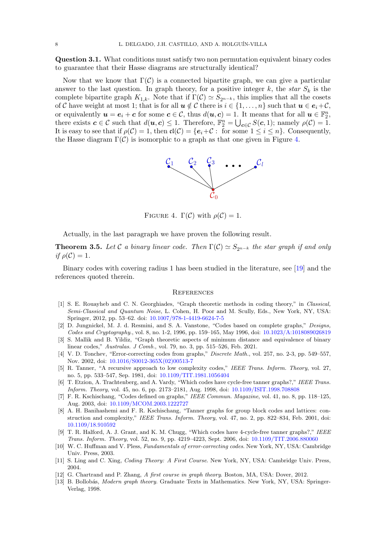Question 3.1. What conditions must satisfy two non permutation equivalent binary codes to guarantee that their Hasse diagrams are structurally identical?

Now that we know that  $\Gamma(\mathcal{C})$  is a connected bipartite graph, we can give a particular answer to the last question. In graph theory, for a positive integer k, the star  $S_k$  is the complete bipartite graph  $K_{1,k}$ . Note that if  $\Gamma(\mathcal{C}) \simeq S_{2^{n-k}}$ , this implies that all the cosets of C have weight at most 1; that is for all  $u \notin C$  there is  $i \in \{1, \ldots, n\}$  such that  $u \in e_i + C$ , or equivalently  $u = e_i + c$  for some  $c \in \mathcal{C}$ , thus  $d(u, c) = 1$ . It means that for all  $u \in \mathbb{F}_2^n$ , there exists  $c \in \mathcal{C}$  such that  $d(\boldsymbol{u}, \boldsymbol{c}) \leq 1$ . Therefore,  $\mathbb{F}_2^n = \bigcup_{\boldsymbol{c} \in \mathcal{C}} S(\boldsymbol{c}, 1)$ ; namely  $\rho(\mathcal{C}) = 1$ . It is easy to see that if  $\rho(\mathcal{C}) = 1$ , then  $\mathfrak{cl}(\mathcal{C}) = \{e_i + \mathcal{C} : \text{ for some } 1 \leq i \leq n\}$ . Consequently, the Hasse diagram  $\Gamma(\mathcal{C})$  is isomorphic to a graph as that one given in Figure [4.](#page-7-13)

<span id="page-7-13"></span>

FIGURE 4.  $\Gamma(\mathcal{C})$  with  $\rho(\mathcal{C}) = 1$ .

Actually, in the last paragraph we have proven the following result.

**Theorem 3.5.** Let C a binary linear code. Then  $\Gamma(\mathcal{C}) \simeq S_{2n-k}$  the star graph if and only if  $\rho(\mathcal{C})=1$ .

Binary codes with covering radius 1 has been studied in the literature, see [\[19\]](#page-8-5) and the references quoted therein.

#### **REFERENCES**

- <span id="page-7-0"></span>[1] S. E. Rouayheb and C. N. Georghiades, "Graph theoretic methods in coding theory," in Classical, Semi-Classical and Quantum Noise, L. Cohen, H. Poor and M. Scully, Eds., New York, NY, USA: Springer, 2012, pp. 53–62. doi: [10.1007/978-1-4419-6624-7-5](https://link.springer.com/chapter/10.1007/978-1-4419-6624-7_5)
- <span id="page-7-1"></span>[2] D. Jungnickel, M. J. d. Resmini, and S. A. Vanstone, "Codes based on complete graphs," Designs, Codes and Cryptography., vol. 8, no. 1-2, 1996, pp. 159–165, May 1996, doi: [10.1023/A:1018089026819](https://link.springer.com/article/10.1023/A:1018089026819)
- <span id="page-7-2"></span>[3] S. Mallik and B. Yildiz, "Graph theoretic aspects of minimum distance and equivalence of binary linear codes," Australas. J Comb., vol. 79, no. 3, pp. 515–526, Feb. 2021.
- <span id="page-7-3"></span>[4] V. D. Tonchev, "Error-correcting codes from graphs," Discrete Math., vol. 257, no. 2-3, pp. 549–557, Nov. 2002, doi: [10.1016/S0012-365X\(02\)00513-7](https://www.sciencedirect.com/science/article/pii/S0012365X02005137)
- <span id="page-7-4"></span>[5] R. Tanner, "A recursive approach to low complexity codes," IEEE Trans. Inform. Theory, vol. 27, no. 5, pp. 533–547, Sep. 1981, doi: [10.1109/TIT.1981.1056404](https://ieeexplore.ieee.org/document/1056404)
- <span id="page-7-5"></span>[6] T. Etzion, A. Trachtenberg, and A. Vardy, "Which codes have cycle-free tanner graphs?," IEEE Trans. Inform. Theory, vol. 45, no. 6, pp. 2173–2181, Aug. 1998, doi: [10.1109/ISIT.1998.708808](https://ieeexplore.ieee.org/document/708808)
- <span id="page-7-6"></span>[7] F. R. Kschischang, "Codes defined on graphs," IEEE Commun. Magazine, vol. 41, no. 8, pp. 118–125, Aug. 2003, doi: [10.1109/MCOM.2003.1222727](https://ieeexplore.ieee.org/document/1222727)
- <span id="page-7-7"></span>[8] A. H. Banihashemi and F. R. Kschischang, "Tanner graphs for group block codes and lattices: construction and complexity," IEEE Trans. Inform. Theory, vol. 47, no. 2, pp. 822–834, Feb. 2001, doi: [10.1109/18.910592](https://ieeexplore.ieee.org/document/910592)
- <span id="page-7-8"></span>[9] T. R. Halford, A. J. Grant, and K. M. Chugg, "Which codes have 4-cycle-free tanner graphs?," IEEE Trans. Inform. Theory, vol. 52, no. 9, pp. 4219–4223, Sept. 2006, doi: [10.1109/TIT.2006.880060](https://ieeexplore.ieee.org/document/1683938)
- <span id="page-7-9"></span>[10] W. C. Huffman and V. Pless, Fundamentals of error-correcting codes. New York, NY, USA: Cambridge Univ. Press, 2003.
- <span id="page-7-10"></span>[11] S. Ling and C. Xing, Coding Theory: A First Course. New York, NY, USA: Cambridge Univ. Press, 2004.
- <span id="page-7-11"></span>[12] G. Chartrand and P. Zhang, A first course in graph theory. Boston, MA, USA: Dover, 2012.
- <span id="page-7-12"></span>[13] B. Bollobás, Modern graph theory. Graduate Texts in Mathematics. New York, NY, USA: Springer-Verlag, 1998.